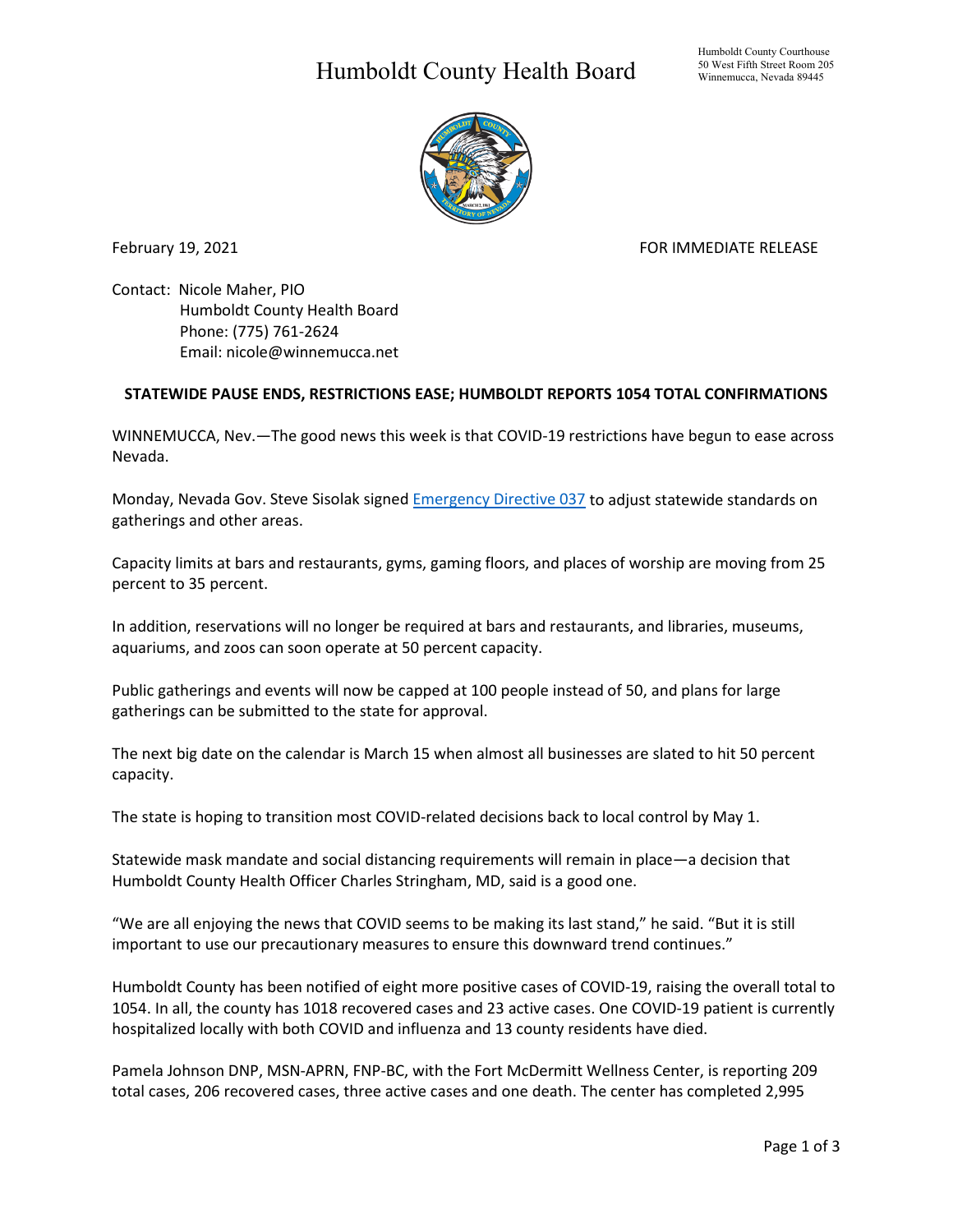## Humboldt County Health Board



February 19, 2021 **FOR IMMEDIATE RELEASE** 

Contact: Nicole Maher, PIO Humboldt County Health Board Phone: (775) 761-2624 Email: nicole@winnemucca.net

## **STATEWIDE PAUSE ENDS, RESTRICTIONS EASE; HUMBOLDT REPORTS 1054 TOTAL CONFIRMATIONS**

WINNEMUCCA, Nev.—The good news this week is that COVID-19 restrictions have begun to ease across Nevada.

Monday, Nevada Gov. Steve Sisolak signed [Emergency Directive 037](https://nvhealthresponse.nv.gov/wp-content/uploads/2021/02/Directive-037.pdf) to adjust statewide standards on gatherings and other areas.

Capacity limits at bars and restaurants, gyms, gaming floors, and places of worship are moving from 25 percent to 35 percent.

In addition, reservations will no longer be required at bars and restaurants, and libraries, museums, aquariums, and zoos can soon operate at 50 percent capacity.

Public gatherings and events will now be capped at 100 people instead of 50, and plans for large gatherings can be submitted to the state for approval.

The next big date on the calendar is March 15 when almost all businesses are slated to hit 50 percent capacity.

The state is hoping to transition most COVID-related decisions back to local control by May 1.

Statewide mask mandate and social distancing requirements will remain in place—a decision that Humboldt County Health Officer Charles Stringham, MD, said is a good one.

"We are all enjoying the news that COVID seems to be making its last stand," he said. "But it is still important to use our precautionary measures to ensure this downward trend continues."

Humboldt County has been notified of eight more positive cases of COVID-19, raising the overall total to 1054. In all, the county has 1018 recovered cases and 23 active cases. One COVID-19 patient is currently hospitalized locally with both COVID and influenza and 13 county residents have died.

Pamela Johnson DNP, MSN-APRN, FNP-BC, with the Fort McDermitt Wellness Center, is reporting 209 total cases, 206 recovered cases, three active cases and one death. The center has completed 2,995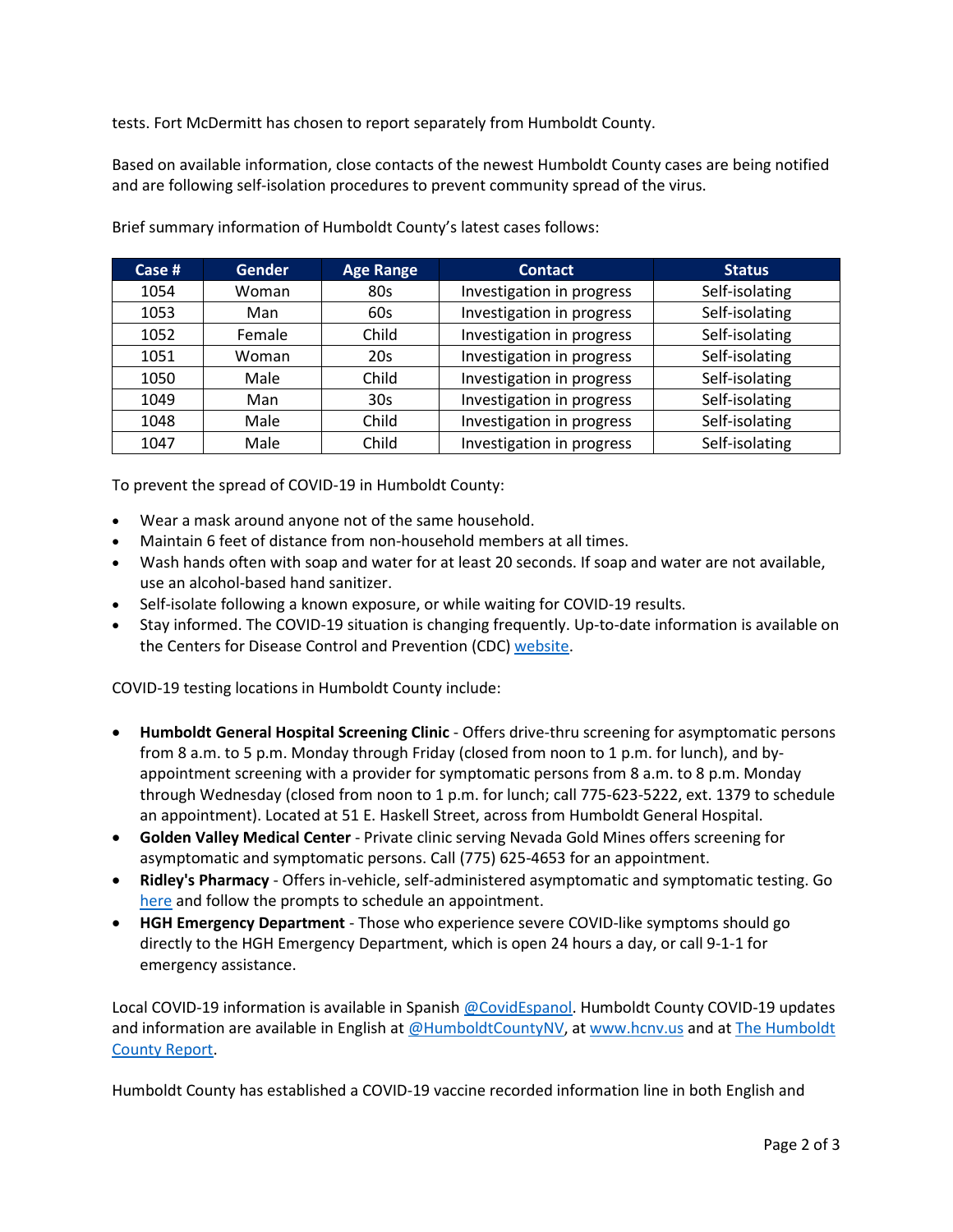tests. Fort McDermitt has chosen to report separately from Humboldt County.

Based on available information, close contacts of the newest Humboldt County cases are being notified and are following self-isolation procedures to prevent community spread of the virus.

| Case $#$ | <b>Gender</b> | <b>Age Range</b> | <b>Contact</b>            | <b>Status</b>  |
|----------|---------------|------------------|---------------------------|----------------|
| 1054     | Woman         | 80s              | Investigation in progress | Self-isolating |
| 1053     | Man           | 60s              | Investigation in progress | Self-isolating |
| 1052     | Female        | Child            | Investigation in progress | Self-isolating |
| 1051     | Woman         | 20s              | Investigation in progress | Self-isolating |
| 1050     | Male          | Child            | Investigation in progress | Self-isolating |
| 1049     | Man           | 30 <sub>s</sub>  | Investigation in progress | Self-isolating |
| 1048     | Male          | Child            | Investigation in progress | Self-isolating |
| 1047     | Male          | Child            | Investigation in progress | Self-isolating |

Brief summary information of Humboldt County's latest cases follows:

To prevent the spread of COVID-19 in Humboldt County:

- Wear a mask around anyone not of the same household.
- Maintain 6 feet of distance from non-household members at all times.
- Wash hands often with soap and water for at least 20 seconds. If soap and water are not available, use an alcohol-based hand sanitizer.
- Self-isolate following a known exposure, or while waiting for COVID-19 results.
- Stay informed. The COVID-19 situation is changing frequently. Up-to-date information is available on the Centers for Disease Control and Prevention (CDC) [website.](http://www.cdc.gov/coronavirus/2019-ncov/index.html)

COVID-19 testing locations in Humboldt County include:

- **Humboldt General Hospital Screening Clinic** Offers drive-thru screening for asymptomatic persons from 8 a.m. to 5 p.m. Monday through Friday (closed from noon to 1 p.m. for lunch), and byappointment screening with a provider for symptomatic persons from 8 a.m. to 8 p.m. Monday through Wednesday (closed from noon to 1 p.m. for lunch; call 775-623-5222, ext. 1379 to schedule an appointment). Located at 51 E. Haskell Street, across from Humboldt General Hospital.
- **Golden Valley Medical Center** Private clinic serving Nevada Gold Mines offers screening for asymptomatic and symptomatic persons. Call (775) 625-4653 for an appointment.
- **Ridley's Pharmacy** Offers in-vehicle, self-administered asymptomatic and symptomatic testing. Go [here](https://www.doineedacovid19test.com/Winnemucca_NV_1098.html) and follow the prompts to schedule an appointment.
- **HGH Emergency Department**  Those who experience severe COVID-like symptoms should go directly to the HGH Emergency Department, which is open 24 hours a day, or call 9-1-1 for emergency assistance.

Local COVID-19 information is available in Spanish [@CovidEspanol.](https://www.facebook.com/CovidEspanol) Humboldt County COVID-19 updates and information are available in English at [@HumboldtCountyNV,](https://www.facebook.com/humboldtcountynv) at [www.hcnv.us](http://www.hcnv.us/) and at The Humboldt [County Report.](https://spark.adobe.com/page/llU1h2xbgNKeR/)

Humboldt County has established a COVID-19 vaccine recorded information line in both English and